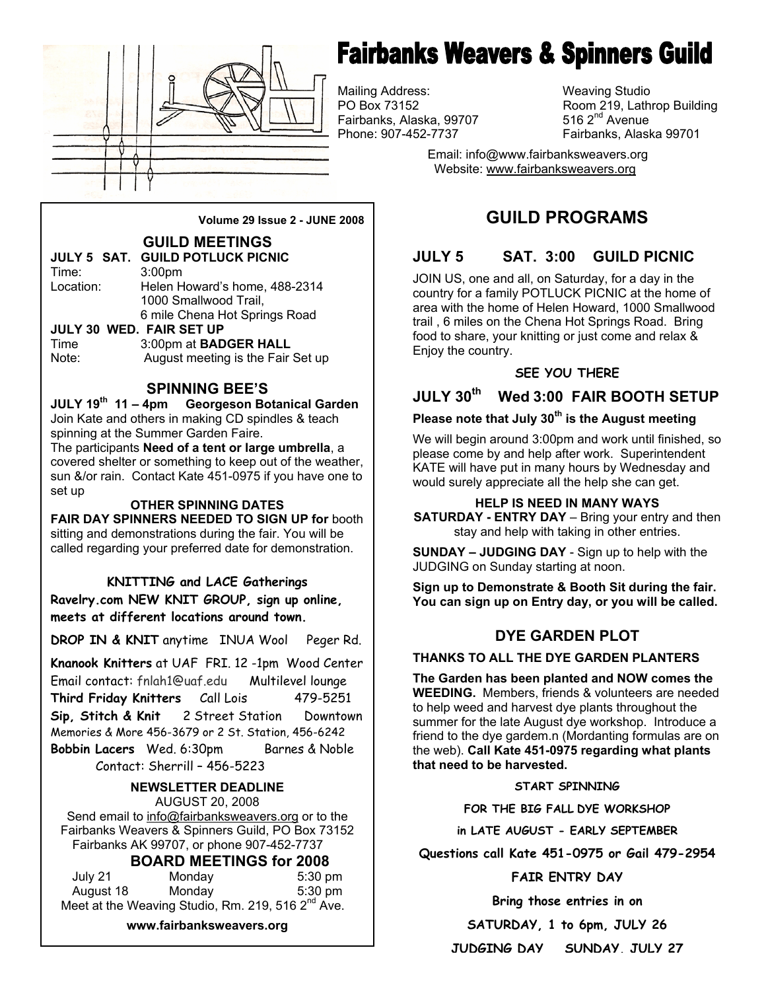

# **Fairbanks Weavers & Spinners Guild**

Mailing Address: Weaving Studio Fairbanks, Alaska, 99707<br>Phone: 907-452-7737

Room 219, Lathrop Building 516  $2<sup>nd</sup>$  Avenue Fairbanks, Alaska 99701

 Email: info@www.fairbanksweavers.org Website: www.fairbanksweavers.org

## **GUILD PROGRAMS**

## **JULY 5 SAT. 3:00 GUILD PICNIC**

JOIN US, one and all, on Saturday, for a day in the country for a family POTLUCK PICNIC at the home of area with the home of Helen Howard, 1000 Smallwood trail , 6 miles on the Chena Hot Springs Road. Bring food to share, your knitting or just come and relax & Enjoy the country.

#### **SEE YOU THERE**

## **JULY 30th Wed 3:00 FAIR BOOTH SETUP**

## **Please note that July 30th is the August meeting**

We will begin around 3:00pm and work until finished, so please come by and help after work. Superintendent KATE will have put in many hours by Wednesday and would surely appreciate all the help she can get.

#### **HELP IS NEED IN MANY WAYS**

**SATURDAY - ENTRY DAY** – Bring your entry and then stay and help with taking in other entries.

**SUNDAY – JUDGING DAY** - Sign up to help with the JUDGING on Sunday starting at noon.

**Sign up to Demonstrate & Booth Sit during the fair. You can sign up on Entry day, or you will be called.** 

## **DYE GARDEN PLOT**

#### **THANKS TO ALL THE DYE GARDEN PLANTERS**

**The Garden has been planted and NOW comes the WEEDING.** Members, friends & volunteers are needed to help weed and harvest dye plants throughout the summer for the late August dye workshop. Introduce a friend to the dye gardem.n (Mordanting formulas are on the web). **Call Kate 451-0975 regarding what plants that need to be harvested.** 

#### **START SPINNING**

**FOR THE BIG FALL DYE WORKSHOP** 

**in LATE AUGUST - EARLY SEPTEMBER** 

**Questions call Kate 451-0975 or Gail 479-2954** 

#### **FAIR ENTRY DAY**

**Bring those entries in on** 

**SATURDAY, 1 to 6pm, JULY 26** 

**JUDGING DAY SUNDAY, JULY 27**

**Volume 29 Issue 2 - JUNE 2008** 

### **GUILD MEETINGS**

|           | <b>JULY 5 SAT. GUILD POTLUCK PICNIC</b> |
|-----------|-----------------------------------------|
| Time:     | 3:00 <sub>pm</sub>                      |
| Location: | Helen Howard's home, 488-2314           |
|           | 1000 Smallwood Trail,                   |
|           | 6 mile Chena Hot Springs Road           |
|           | JULY 30 WED. FAIR SET UP                |

Time 3:00pm at **BADGER HALL** Note: August meeting is the Fair Set up

#### **SPINNING BEE'S**

**JULY 19th 11 – 4pm Georgeson Botanical Garden**  Join Kate and others in making CD spindles & teach spinning at the Summer Garden Faire.

The participants **Need of a tent or large umbrella**, a covered shelter or something to keep out of the weather, sun &/or rain. Contact Kate 451-0975 if you have one to set up

#### **OTHER SPINNING DATES**

**FAIR DAY SPINNERS NEEDED TO SIGN UP for** booth sitting and demonstrations during the fair. You will be called regarding your preferred date for demonstration.

#### **KNITTING and LACE Gatherings**

**Ravelry.com NEW KNIT GROUP, sign up online, meets at different locations around town.**

**DROP IN & KNIT** anytime INUA Wool Peger Rd.

**Knanook Knitters** at UAF FRI. 12 -1pm Wood Center Email contact: fnlah1@uaf.edu Multilevel lounge **Third Friday Knitters** Call Lois 479-5251 **Sip, Stitch & Knit** 2 Street Station Downtown Memories & More 456-3679 or 2 St. Station, 456-6242 **Bobbin Lacers** Wed. 6:30pm Barnes & Noble Contact: Sherrill – 456-5223

## **NEWSLETTER DEADLINE**

AUGUST 20, 2008 Send email to info@fairbanksweavers.org or to the Fairbanks Weavers & Spinners Guild, PO Box 73152 Fairbanks AK 99707, or phone 907-452-7737

### **BOARD MEETINGS for 2008**

| July 21   | Monday | $5:30$ pm                                                     |
|-----------|--------|---------------------------------------------------------------|
| August 18 | Mondav | $5:30$ pm                                                     |
|           |        | Meet at the Weaving Studio, Rm. 219, 516 2 <sup>nd</sup> Ave. |

**www.fairbanksweavers.org**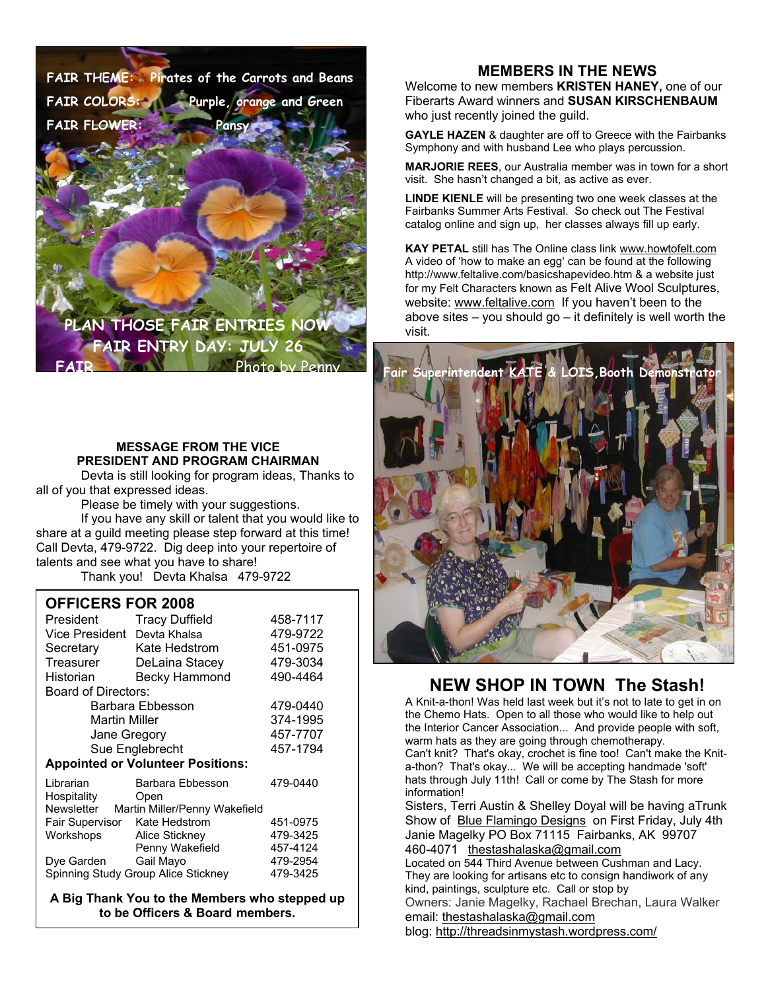**FAIR THEME: Pirates of the Carrots and Beans FAIR COLORS: Purple, orange and Green FAIR FLOWER:** Pans

**PLAN THOSE FAIR ENTRIES NOW FAIR ENTRY DAY: JULY 26 Photo by Penn** 

#### **MESSAGE FROM THE VICE PRESIDENT AND PROGRAM CHAIRMAN**

 Devta is still looking for program ideas, Thanks to all of you that expressed ideas.

Please be timely with your suggestions.

 If you have any skill or talent that you would like to share at a guild meeting please step forward at this time! Call Devta, 479-9722. Dig deep into your repertoire of talents and see what you have to share!

Thank you! Devta Khalsa 479-9722

#### **OFFICERS FOR 2008**

| President                                | <b>Tracy Duffield</b> | 458-7117 |  |
|------------------------------------------|-----------------------|----------|--|
| Vice President                           | Devta Khalsa          | 479-9722 |  |
| Secretary                                | Kate Hedstrom         | 451-0975 |  |
| Treasurer                                | DeLaina Stacey        | 479-3034 |  |
| Historian                                | <b>Becky Hammond</b>  | 490-4464 |  |
| Board of Directors:                      |                       |          |  |
| Barbara Ebbesson                         |                       | 479-0440 |  |
| Martin Miller                            |                       | 374-1995 |  |
| Jane Gregory                             |                       | 457-7707 |  |
| Sue Englebrecht                          |                       | 457-1794 |  |
| <b>Appointed or Volunteer Positions:</b> |                       |          |  |
| Librarian                                | Barbara Ebbesson      | 479-0440 |  |
| Hospitality                              | Open                  |          |  |
| Newsletter Martin Miller/Penny Wakefield |                       |          |  |
| Fair Supervisor                          | Kate Hedstrom         | 451-0975 |  |
| Workshops                                | Alice Stickney        | 479-3425 |  |
|                                          | Penny Wakefield       | 457-4124 |  |
| Dye Garden                               | Gail Mayo             | 479-2954 |  |
| Spinning Study Group Alice Stickney      | 479-3425              |          |  |

**A Big Thank You to the Members who stepped up to be Officers & Board members.**

#### **MEMBERS IN THE NEWS**

Welcome to new members **KRISTEN HANEY,** one of our Fiberarts Award winners and **SUSAN KIRSCHENBAUM**  who just recently joined the guild.

**GAYLE HAZEN** & daughter are off to Greece with the Fairbanks Symphony and with husband Lee who plays percussion.

**MARJORIE REES**, our Australia member was in town for a short visit. She hasn't changed a bit, as active as ever.

**LINDE KIENLE** will be presenting two one week classes at the Fairbanks Summer Arts Festival. So check out The Festival catalog online and sign up, her classes always fill up early.

**KAY PETAL** still has The Online class link www.howtofelt.com A video of 'how to make an egg' can be found at the following http://www.feltalive.com/basicshapevideo.htm & a website just for my Felt Characters known as Felt Alive Wool Sculptures, website: www.feltalive.com If you haven't been to the above sites – you should go – it definitely is well worth the visit.



### **NEW SHOP IN TOWN The Stash!**

A Knit-a-thon! Was held last week but it's not to late to get in on the Chemo Hats. Open to all those who would like to help out the Interior Cancer Association... And provide people with soft, warm hats as they are going through chemotherapy. Can't knit? That's okay, crochet is fine too! Can't make the Knita-thon? That's okay... We will be accepting handmade 'soft' hats through July 11th! Call or come by The Stash for more information!

Sisters, Terri Austin & Shelley Doyal will be having aTrunk Show of Blue Flamingo Designs on First Friday, July 4th Janie Magelky PO Box 71115 Fairbanks, AK 99707 460-4071 thestashalaska@gmail.com

Located on 544 Third Avenue between Cushman and Lacy. They are looking for artisans etc to consign handiwork of any kind, paintings, sculpture etc. Call or stop by Owners: Janie Magelky, Rachael Brechan, Laura Walker

email: thestashalaska@gmail.com

blog: http://threadsinmystash.wordpress.com/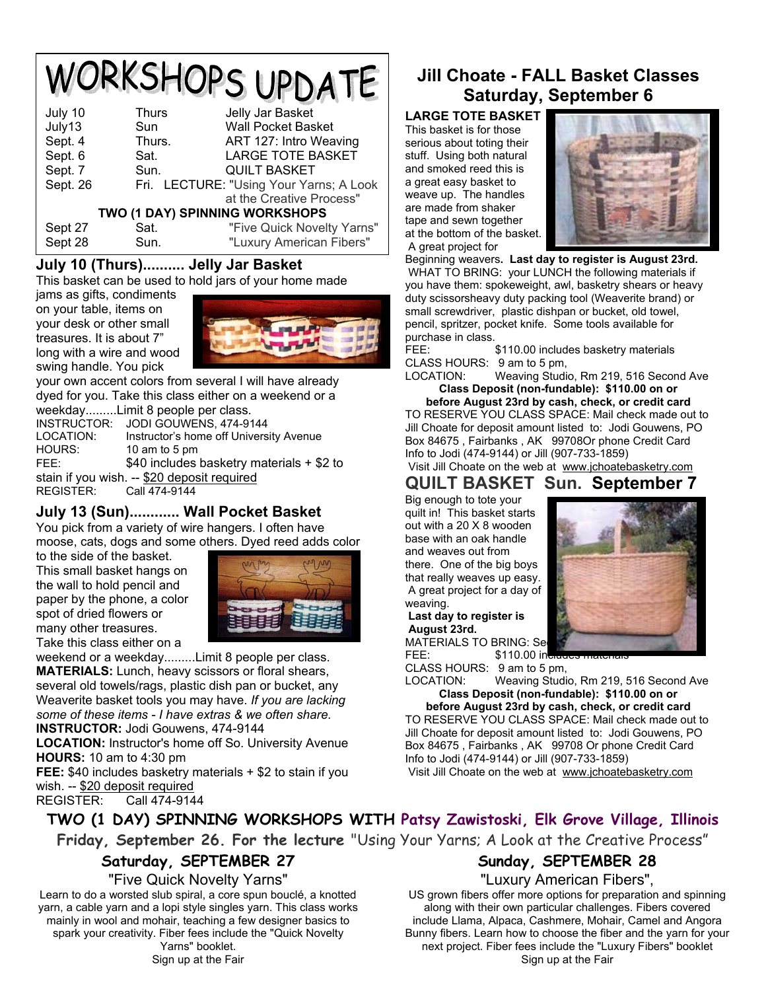## WORKSHOPS UPDATE July 10 Thurs Jelly Jar Basket Wall Pocket Basket

| <b>JUIV IJ</b>                 | oun    | <i><b>YVAII FUUNGL DASNGL</b></i>       |  |  |
|--------------------------------|--------|-----------------------------------------|--|--|
| Sept. 4                        | Thurs. | ART 127: Intro Weaving                  |  |  |
| Sept. 6                        | Sat.   | <b>LARGE TOTE BASKET</b>                |  |  |
| Sept. 7                        | Sun.   | <b>QUILT BASKET</b>                     |  |  |
| Sept. 26                       |        | Fri. LECTURE: "Using Your Yarns; A Look |  |  |
|                                |        | at the Creative Process"                |  |  |
| TWO (1 DAY) SPINNING WORKSHOPS |        |                                         |  |  |
| Sept 27                        | Sat.   | "Five Quick Novelty Yarns"              |  |  |
| Sept 28                        | Sun.   | "Luxury American Fibers"                |  |  |
|                                |        |                                         |  |  |

## **July 10 (Thurs).......... Jelly Jar Basket**

This basket can be used to hold jars of your home made

jams as gifts, condiments on your table, items on your desk or other small treasures. It is about 7" long with a wire and wood swing handle. You pick



your own accent colors from several I will have already dyed for you. Take this class either on a weekend or a

weekday.........Limit 8 people per class.

INSTRUCTOR: JODI GOUWENS, 474-9144 LOCATION: Instructor's home off University Avenue HOURS: 10 am to 5 pm FEE: \$40 includes basketry materials + \$2 to stain if you wish. -- \$20 deposit required REGISTER: Call 474-9144

## **July 13 (Sun)............ Wall Pocket Basket**

You pick from a variety of wire hangers. I often have moose, cats, dogs and some others. Dyed reed adds color

to the side of the basket. This small basket hangs on the wall to hold pencil and paper by the phone, a color

spot of dried flowers or many other treasures.



Take this class either on a

weekend or a weekday.........Limit 8 people per class. **MATERIALS:** Lunch, heavy scissors or floral shears, several old towels/rags, plastic dish pan or bucket, any Weaverite basket tools you may have. *If you are lacking some of these items - I have extras & we often share.*

**INSTRUCTOR:** Jodi Gouwens, 474-9144

**LOCATION:** Instructor's home off So. University Avenue **HOURS:** 10 am to 4:30 pm

**FEE:** \$40 includes basketry materials + \$2 to stain if you wish. -- \$20 deposit required

REGISTER: Call 474-9144

## **Jill Choate - FALL Basket Classes Saturday, September 6**

**LARGE TOTE BASKET**  This basket is for those serious about toting their stuff. Using both natural and smoked reed this is a great easy basket to weave up. The handles are made from shaker tape and sewn together at the bottom of the basket. A great project for



Beginning weavers**. Last day to register is August 23rd.** WHAT TO BRING: your LUNCH the following materials if you have them: spokeweight, awl, basketry shears or heavy duty scissorsheavy duty packing tool (Weaverite brand) or small screwdriver, plastic dishpan or bucket, old towel, pencil, spritzer, pocket knife. Some tools available for purchase in class.

FEE: \$110.00 includes basketry materials CLASS HOURS: 9 am to 5 pm,

LOCATION: Weaving Studio, Rm 219, 516 Second Ave **Class Deposit (non-fundable): \$110.00 on or** 

**before August 23rd by cash, check, or credit card**  TO RESERVE YOU CLASS SPACE: Mail check made out to Jill Choate for deposit amount listed to: Jodi Gouwens, PO Box 84675 , Fairbanks , AK 99708Or phone Credit Card Info to Jodi (474-9144) or Jill (907-733-1859)

#### Visit Jill Choate on the web at www.jchoatebasketry.com **QUILT BASKET Sun. September 7**

Big enough to tote your quilt in! This basket starts out with a 20 X 8 wooden base with an oak handle and weaves out from there. One of the big boys that really weaves up easy. A great project for a day of weaving.

**Last day to register is August 23rd.**

MATERIALS TO BRING: Se FEE: \$110.00 in



CLASS HOURS: 9 am to 5 pm,

LOCATION: Weaving Studio, Rm 219, 516 Second Ave **Class Deposit (non-fundable): \$110.00 on or** 

**before August 23rd by cash, check, or credit card**  TO RESERVE YOU CLASS SPACE: Mail check made out to Jill Choate for deposit amount listed to: Jodi Gouwens, PO Box 84675 , Fairbanks , AK 99708 Or phone Credit Card Info to Jodi (474-9144) or Jill (907-733-1859) Visit Jill Choate on the web at www.jchoatebasketry.com

**TWO (1 DAY) SPINNING WORKSHOPS WITH Patsy Zawistoski, Elk Grove Village, Illinois** 

**Friday, September 26. For the lecture** "Using Your Yarns; A Look at the Creative Process"

## **Saturday, SEPTEMBER 27**

"Five Quick Novelty Yarns"

Learn to do a worsted slub spiral, a core spun bouclé, a knotted yarn, a cable yarn and a lopi style singles yarn. This class works mainly in wool and mohair, teaching a few designer basics to spark your creativity. Fiber fees include the "Quick Novelty Yarns" booklet. Sign up at the Fair

## **Sunday, SEPTEMBER 28**

#### "Luxury American Fibers",

US grown fibers offer more options for preparation and spinning along with their own particular challenges. Fibers covered include Llama, Alpaca, Cashmere, Mohair, Camel and Angora Bunny fibers. Learn how to choose the fiber and the yarn for your next project. Fiber fees include the "Luxury Fibers" booklet Sign up at the Fair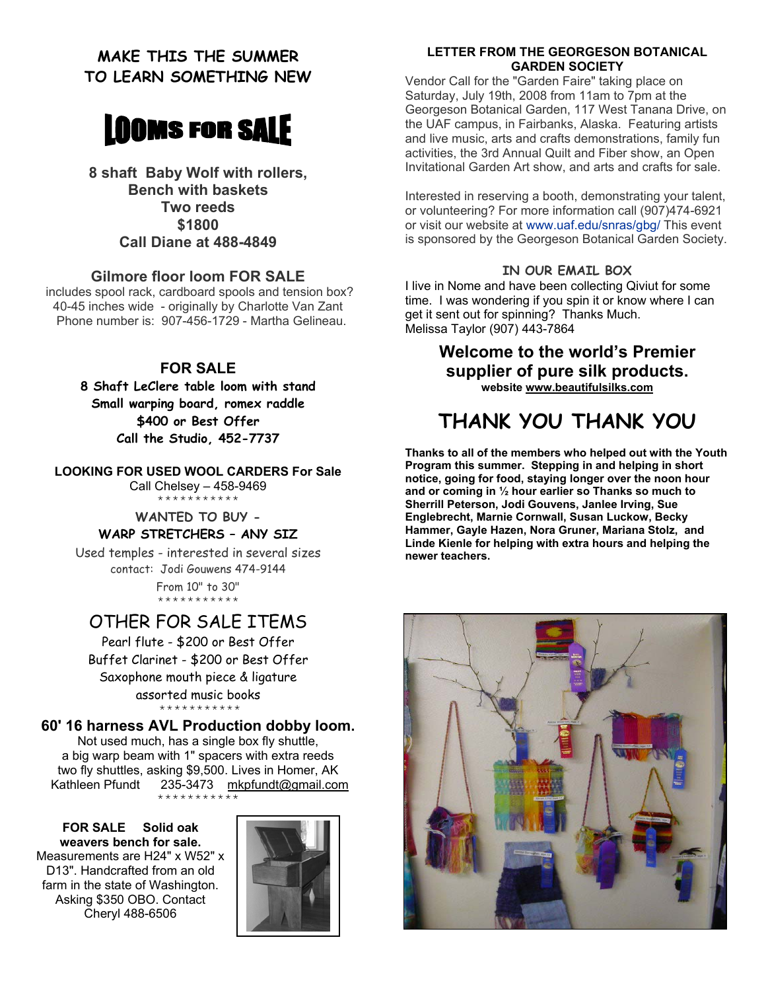## **MAKE THIS THE SUMMER TO LEARN SOMETHING NEW**



**8 shaft Baby Wolf with rollers, Bench with baskets Two reeds \$1800 Call Diane at 488-4849** 

#### **Gilmore floor loom FOR SALE**

 includes spool rack, cardboard spools and tension box? 40-45 inches wide - originally by Charlotte Van Zant Phone number is: 907-456-1729 - Martha Gelineau.

#### **FOR SALE**

**8 Shaft LeClere table loom with stand Small warping board, romex raddle \$400 or Best Offer Call the Studio, 452-7737** 

**LOOKING FOR USED WOOL CARDERS For Sale**  Call Chelsey – 458-9469

\*\*\*\*\*\*\*\*\*\*\*

#### **WANTED TO BUY - WARP STRETCHERS – ANY SIZ**

Used temples - interested in several sizes contact: Jodi Gouwens 474-9144 From 10" to 30" \*\*\*\*\*\*\*\*\*\*\*

## OTHER FOR SALE ITEMS

Pearl flute - \$200 or Best Offer Buffet Clarinet - \$200 or Best Offer Saxophone mouth piece & ligature assorted music books \*\*\*\*\*\*\*\*\*\*\*

#### **60' 16 harness AVL Production dobby loom.**

Not used much, has a single box fly shuttle, a big warp beam with 1" spacers with extra reeds two fly shuttles, asking \$9,500. Lives in Homer, AK Kathleen Pfundt 235-3473 mkpfundt@gmail.com \*\*\*\*\*\*\*\*\*\*\*

**FOR SALE Solid oak weavers bench for sale.** Measurements are H24" x W52" x D13". Handcrafted from an old farm in the state of Washington. Asking \$350 OBO. Contact Cheryl 488-6506



#### **LETTER FROM THE GEORGESON BOTANICAL GARDEN SOCIETY**

Vendor Call for the "Garden Faire" taking place on Saturday, July 19th, 2008 from 11am to 7pm at the Georgeson Botanical Garden, 117 West Tanana Drive, on the UAF campus, in Fairbanks, Alaska. Featuring artists and live music, arts and crafts demonstrations, family fun activities, the 3rd Annual Quilt and Fiber show, an Open Invitational Garden Art show, and arts and crafts for sale.

Interested in reserving a booth, demonstrating your talent, or volunteering? For more information call (907)474-6921 or visit our website at www.uaf.edu/snras/gbg/ This event is sponsored by the Georgeson Botanical Garden Society.

#### **IN OUR EMAIL BOX**

I live in Nome and have been collecting Qiviut for some time. I was wondering if you spin it or know where I can get it sent out for spinning? Thanks Much. Melissa Taylor (907) 443-7864

## **Welcome to the world's Premier supplier of pure silk products.**

**website www.beautifulsilks.com**

## **THANK YOU THANK YOU**

**Thanks to all of the members who helped out with the Youth Program this summer. Stepping in and helping in short notice, going for food, staying longer over the noon hour and or coming in ½ hour earlier so Thanks so much to Sherrill Peterson, Jodi Gouvens, Janlee Irving, Sue Englebrecht, Marnie Cornwall, Susan Luckow, Becky Hammer, Gayle Hazen, Nora Gruner, Mariana Stolz, and Linde Kienle for helping with extra hours and helping the newer teachers.** 

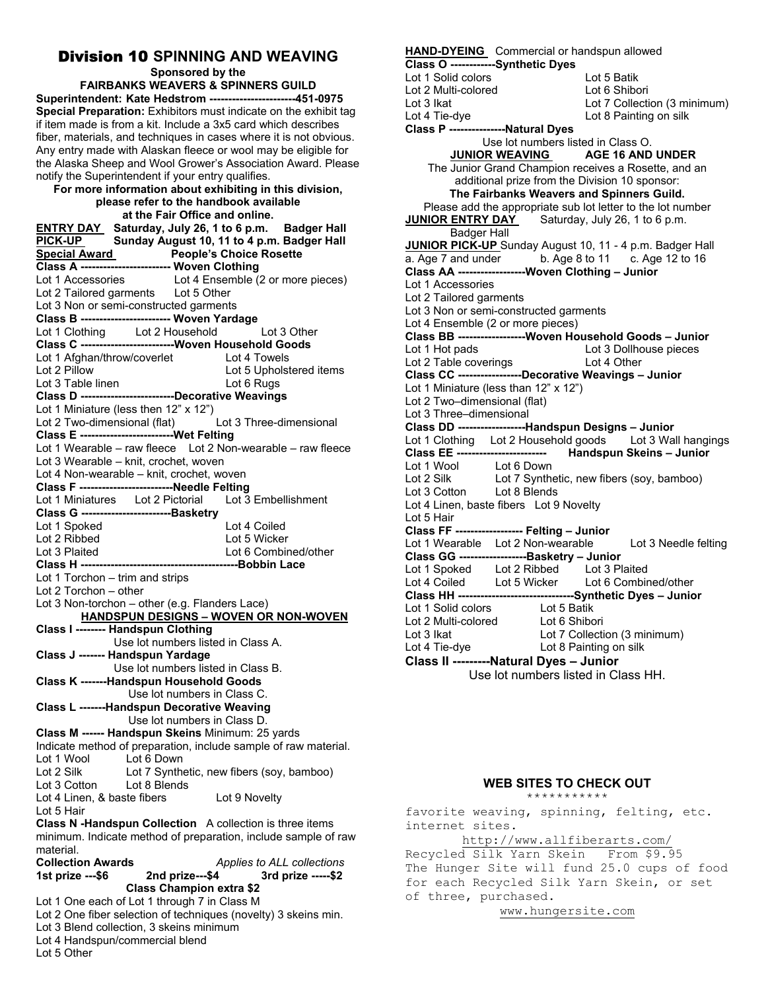## **Division 10 SPINNING AND WEAVING**<br>Sponsored by the

**FAIRBANKS WEAVERS & SPINNERS GUILD Superintendent: Kate Hedstrom -----------------------451-0975 Special Preparation:** Exhibitors must indicate on the exhibit tag if item made is from a kit. Include a 3x5 card which describes fiber, materials, and techniques in cases where it is not obvious. Any entry made with Alaskan fleece or wool may be eligible for the Alaska Sheep and Wool Grower's Association Award. Please notify the Superintendent if your entry qualifies.

#### **For more information about exhibiting in this division, please refer to the handbook available**

**at the Fair Office and online. ENTRY DAY Saturday, July 26, 1 to 6 p.m. Badger Hall**  Sunday August 10, 11 to 4 p.m. Badger Hall **Special Award People's Choice Rosette Class A ------------------------ Woven Clothing**  Lot 1 Accessories Lot 4 Ensemble (2 or more pieces) Lot 2 Tailored garments Lot 5 Other Lot 3 Non or semi-constructed garments **Class B ------------------------ Woven Yardage**  Lot 1 Clothing Lot 2 Household Lot 3 Other **Class C -------------------------Woven Household Goods**  Lot 1 Afghan/throw/coverlet Lot 4 Towels<br>
Lot 2 Pillow Lot 5 Upholst Lot 5 Upholstered items Lot 3 Table linen Lot 6 Rugs **Class D -------------------------Decorative Weavings**  Lot 1 Miniature (less then 12" x 12") Lot 2 Two-dimensional (flat) Lot 3 Three-dimensional **Class E -------------------------Wet Felting**  Lot 1 Wearable – raw fleece Lot 2 Non-wearable – raw fleece Lot 3 Wearable – knit, crochet, woven Lot 4 Non-wearable – knit, crochet, woven **Class F -------------------------Needle Felting**  Lot 1 Miniatures Lot 2 Pictorial Lot 3 Embellishment **Class G ------------------------Basketry**  Lot 1 Spoked Lot 4 Coiled Lot 2 Ribbed Lot 5 Wicker Lot 3 Plaited Lot 6 Combined/other **Class H ------------------------------------------Bobbin Lace**  Lot 1 Torchon – trim and strips Lot 2 Torchon – other Lot 3 Non-torchon – other (e.g. Flanders Lace)  **HANDSPUN DESIGNS – WOVEN OR NON-WOVEN Class I -------- Handspun Clothing**  Use lot numbers listed in Class A. **Class J ------- Handspun Yardage**  Use lot numbers listed in Class B. **Class K -------Handspun Household Goods**  Use lot numbers in Class C. **Class L -------Handspun Decorative Weaving**  Use lot numbers in Class D. **Class M ------ Handspun Skeins** Minimum: 25 yards Indicate method of preparation, include sample of raw material. Lot 1 Wool Lot 6 Down<br>Lot 2 Silk Lot 7 Synthe Lot 7 Synthetic, new fibers (soy, bamboo)<br>Lot 8 Blends Lot 3 Cotton Lot 4 Linen, & baste fibers Lot 9 Novelty Lot 5 Hair **Class N -Handspun Collection** A collection is three items minimum. Indicate method of preparation, include sample of raw material. **Collection Awards** *Applies to ALL collections*  **1st prize ---\$6 2nd prize---\$4 3rd prize -----\$2 Class Champion extra \$2**  Lot 1 One each of Lot 1 through 7 in Class M Lot 2 One fiber selection of techniques (novelty) 3 skeins min. Lot 3 Blend collection, 3 skeins minimum

Lot 4 Handspun/commercial blend

Lot 5 Other

#### **HAND-DYEING** Commercial or handspun allowed **Class O ------------Synthetic Dyes**  Lot 1 Solid colors Lot 5 Batik<br>
Lot 2 Multi-colored Lot 6 Shibori Lot 2 Multi-colored Lot 3 Ikat Lot 7 Collection (3 minimum)<br>
Lot 4 Tie-dve Lot 8 Painting on silk Lot 8 Painting on silk **Class P ---------------Natural Dyes**  Use lot numbers listed in Class O. **JUNIOR WEAVING AGE 16 AND UNDER**  The Junior Grand Champion receives a Rosette, and an additional prize from the Division 10 sponsor: **The Fairbanks Weavers and Spinners Guild.**  Please add the appropriate sub lot letter to the lot number<br>JUNIOR ENTRY DAY Saturday, July 26, 1 to 6 p.m. Saturday, July 26, 1 to 6 p.m. Badger Hall **JUNIOR PICK-UP** Sunday August 10, 11 - 4 p.m. Badger Hall a. Age 7 and under b. Age 8 to 11 c. Age 12 to 16 **Class AA ------------------Woven Clothing – Junior**  Lot 1 Accessories Lot 2 Tailored garments Lot 3 Non or semi-constructed garments Lot 4 Ensemble (2 or more pieces) **Class BB ------------------Woven Household Goods – Junior**  Lot 1 Hot pads<br>
Lot 2 Table coverings<br>
Lot 4 Other Lot 2 Table coverings **Class CC -----------------Decorative Weavings – Junior**  Lot 1 Miniature (less than 12" x 12") Lot 2 Two–dimensional (flat) Lot 3 Three–dimensional **Class DD ------------------Handspun Designs – Junior**  Lot 1 Clothing Lot 2 Household goods<br>Class EE ------------------------ Handsp **Handspun Skeins – Junior** Lot 1 Wool Lot 6 Down Lot 2 Silk Lot 7 Synthetic, new fibers (soy, bamboo) Lot 3 Cotton Lot 8 Blends Lot 4 Linen, baste fibers Lot 9 Novelty Lot 5 Hair **Class FF ------------------ Felting – Junior**  Lot 1 Wearable Lot 2 Non-wearable Lot 3 Needle felting **Class GG ------------------Basketry – Junior**  Lot 1 Spoked Lot 2 Ribbed Lot 3 Plaited<br>
Lot 4 Coiled Lot 5 Wicker Lot 6 Combined/other Lot 4 Coiled Lot 5 Wicker **Class HH -------------------------------Synthetic Dyes – Junior**  Lot 1 Solid colors Lot 2 Multi-colored Lot 6 Shibori Lot 3 Ikat Lot 7 Collection (3 minimum) Lot 4 Tie-dye Lot 8 Painting on silk

**Class II ---------Natural Dyes – Junior** 

Use lot numbers listed in Class HH.

#### **WEB SITES TO CHECK OUT** \*\*\*\*\*\*\*\*\*\*\*

favorite weaving, spinning, felting, etc. internet sites.

http://www.allfiberarts.com/

Recycled Silk Yarn Skein From \$9.95 The Hunger Site will fund 25.0 cups of food for each Recycled Silk Yarn Skein, or set of three, purchased.

www.hungersite.com